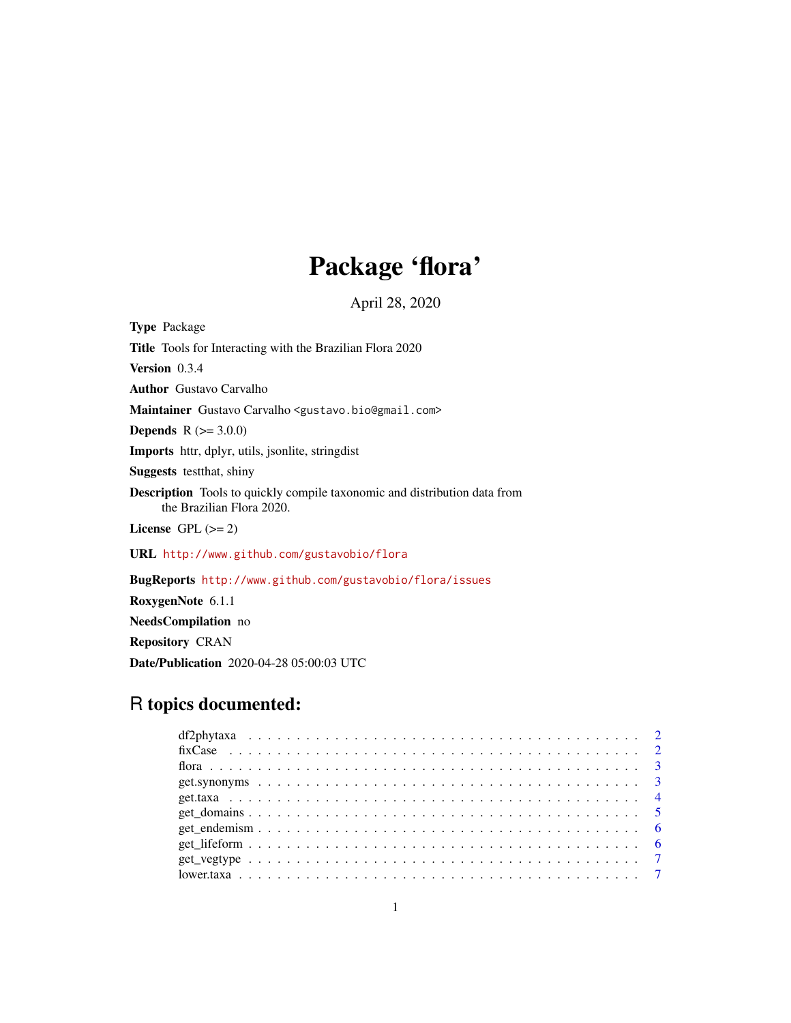# Package 'flora'

April 28, 2020

Type Package Title Tools for Interacting with the Brazilian Flora 2020 Version 0.3.4 Author Gustavo Carvalho Maintainer Gustavo Carvalho <gustavo.bio@gmail.com> **Depends** R  $(>= 3.0.0)$ Imports httr, dplyr, utils, jsonlite, stringdist Suggests testthat, shiny Description Tools to quickly compile taxonomic and distribution data from the Brazilian Flora 2020. License GPL  $(>= 2)$ URL <http://www.github.com/gustavobio/flora> BugReports <http://www.github.com/gustavobio/flora/issues> RoxygenNote 6.1.1 NeedsCompilation no

Repository CRAN

Date/Publication 2020-04-28 05:00:03 UTC

# R topics documented: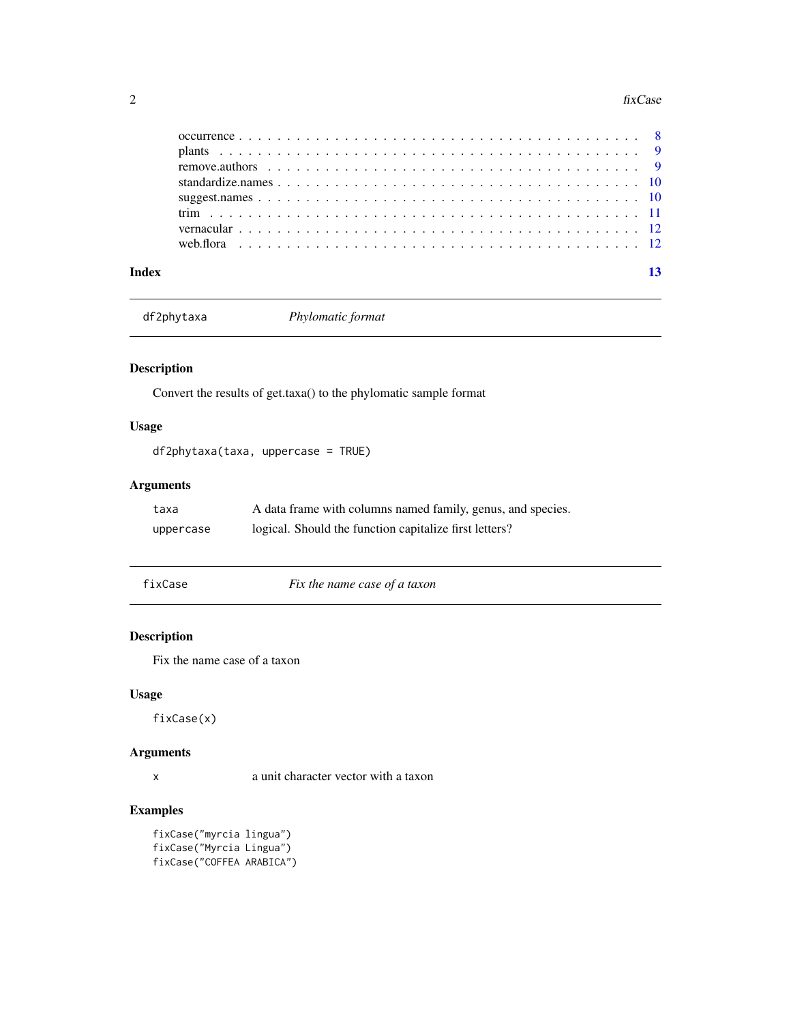#### <span id="page-1-0"></span>2 fixCase

| Index |  |  | 13 |
|-------|--|--|----|

df2phytaxa *Phylomatic format*

# Description

Convert the results of get.taxa() to the phylomatic sample format

# Usage

df2phytaxa(taxa, uppercase = TRUE)

# Arguments

| taxa      | A data frame with columns named family, genus, and species. |
|-----------|-------------------------------------------------------------|
| uppercase | logical. Should the function capitalize first letters?      |

fixCase *Fix the name case of a taxon*

# Description

Fix the name case of a taxon

### Usage

fixCase(x)

# Arguments

x a unit character vector with a taxon

# Examples

```
fixCase("myrcia lingua")
fixCase("Myrcia Lingua")
fixCase("COFFEA ARABICA")
```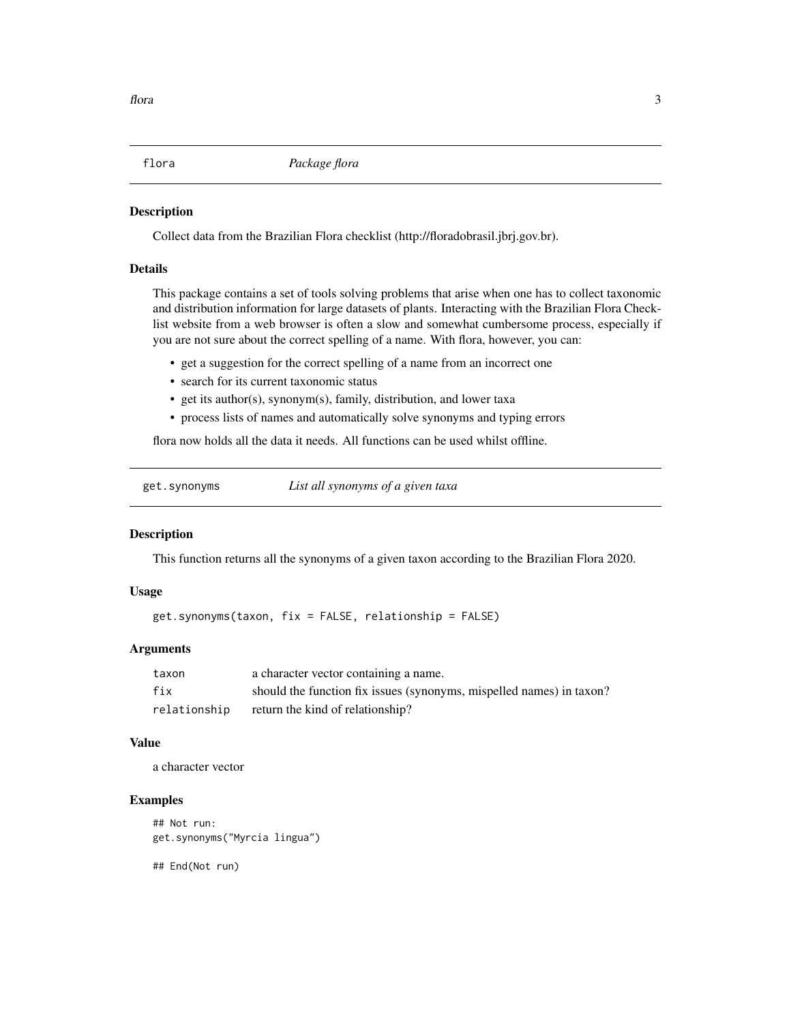<span id="page-2-0"></span>

# **Description**

Collect data from the Brazilian Flora checklist (http://floradobrasil.jbrj.gov.br).

# Details

This package contains a set of tools solving problems that arise when one has to collect taxonomic and distribution information for large datasets of plants. Interacting with the Brazilian Flora Checklist website from a web browser is often a slow and somewhat cumbersome process, especially if you are not sure about the correct spelling of a name. With flora, however, you can:

- get a suggestion for the correct spelling of a name from an incorrect one
- search for its current taxonomic status
- get its author(s), synonym(s), family, distribution, and lower taxa
- process lists of names and automatically solve synonyms and typing errors

flora now holds all the data it needs. All functions can be used whilst offline.

get.synonyms *List all synonyms of a given taxa*

#### Description

This function returns all the synonyms of a given taxon according to the Brazilian Flora 2020.

#### Usage

get.synonyms(taxon, fix = FALSE, relationship = FALSE)

#### **Arguments**

| taxon        | a character vector containing a name.                                |
|--------------|----------------------------------------------------------------------|
| fix          | should the function fix issues (synonyms, mispelled names) in taxon? |
| relationship | return the kind of relationship?                                     |

#### Value

a character vector

#### Examples

## Not run: get.synonyms("Myrcia lingua")

## End(Not run)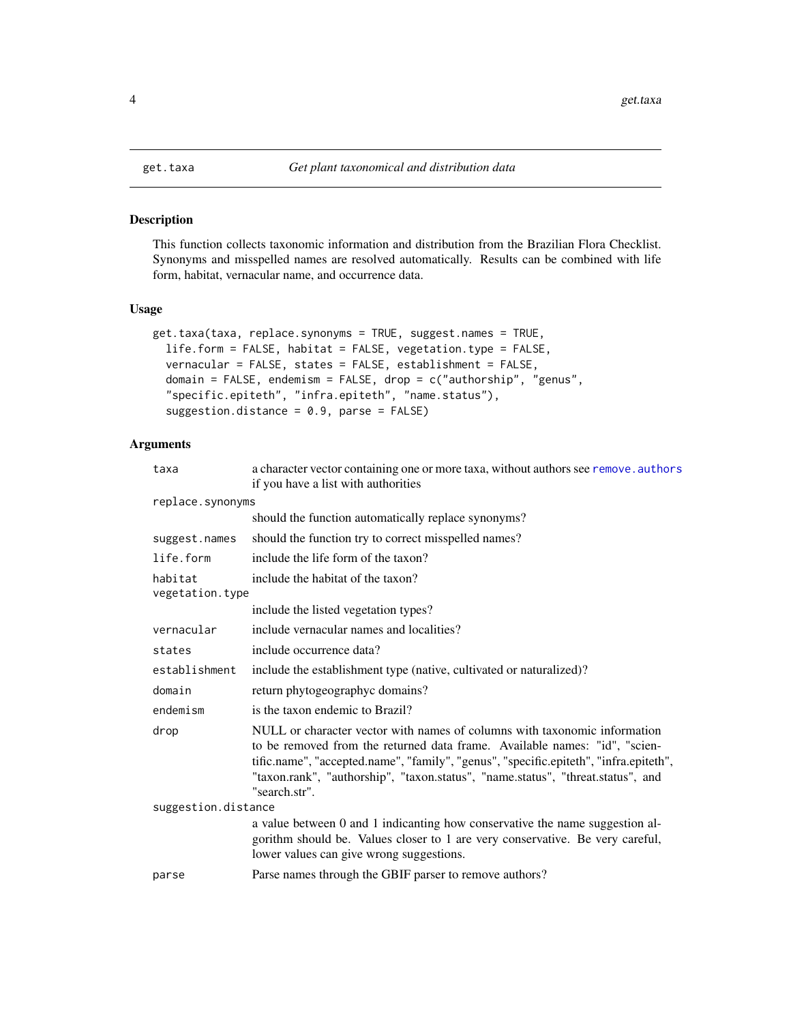<span id="page-3-0"></span>

# Description

This function collects taxonomic information and distribution from the Brazilian Flora Checklist. Synonyms and misspelled names are resolved automatically. Results can be combined with life form, habitat, vernacular name, and occurrence data.

#### Usage

```
get.taxa(taxa, replace.synonyms = TRUE, suggest.names = TRUE,
  life.form = FALSE, habitat = FALSE, vegetation.type = FALSE,
  vernacular = FALSE, states = FALSE, establishment = FALSE,
  domain = FALSE, endemism = FALSE, drop = c("authorship", "genus",
  "specific.epiteth", "infra.epiteth", "name.status"),
  suggestion.distance = 0.9, parse = FALSE)
```
# Arguments

| taxa                       | a character vector containing one or more taxa, without authors see remove. authors<br>if you have a list with authorities                                                                                                                                                                                                                           |
|----------------------------|------------------------------------------------------------------------------------------------------------------------------------------------------------------------------------------------------------------------------------------------------------------------------------------------------------------------------------------------------|
| replace.synonyms           |                                                                                                                                                                                                                                                                                                                                                      |
|                            | should the function automatically replace synonyms?                                                                                                                                                                                                                                                                                                  |
| suggest.names              | should the function try to correct misspelled names?                                                                                                                                                                                                                                                                                                 |
| life.form                  | include the life form of the taxon?                                                                                                                                                                                                                                                                                                                  |
| habitat<br>vegetation.type | include the habitat of the taxon?                                                                                                                                                                                                                                                                                                                    |
|                            | include the listed vegetation types?                                                                                                                                                                                                                                                                                                                 |
| vernacular                 | include vernacular names and localities?                                                                                                                                                                                                                                                                                                             |
| states                     | include occurrence data?                                                                                                                                                                                                                                                                                                                             |
| establishment              | include the establishment type (native, cultivated or naturalized)?                                                                                                                                                                                                                                                                                  |
| domain                     | return phytogeographyc domains?                                                                                                                                                                                                                                                                                                                      |
| endemism                   | is the taxon endemic to Brazil?                                                                                                                                                                                                                                                                                                                      |
| drop                       | NULL or character vector with names of columns with taxonomic information<br>to be removed from the returned data frame. Available names: "id", "scien-<br>tific.name", "accepted.name", "family", "genus", "specific.epiteth", "infra.epiteth",<br>"taxon.rank", "authorship", "taxon.status", "name.status", "threat.status", and<br>"search.str". |
| suggestion.distance        |                                                                                                                                                                                                                                                                                                                                                      |
|                            | a value between 0 and 1 indicanting how conservative the name suggestion al-<br>gorithm should be. Values closer to 1 are very conservative. Be very careful,<br>lower values can give wrong suggestions.                                                                                                                                            |
| parse                      | Parse names through the GBIF parser to remove authors?                                                                                                                                                                                                                                                                                               |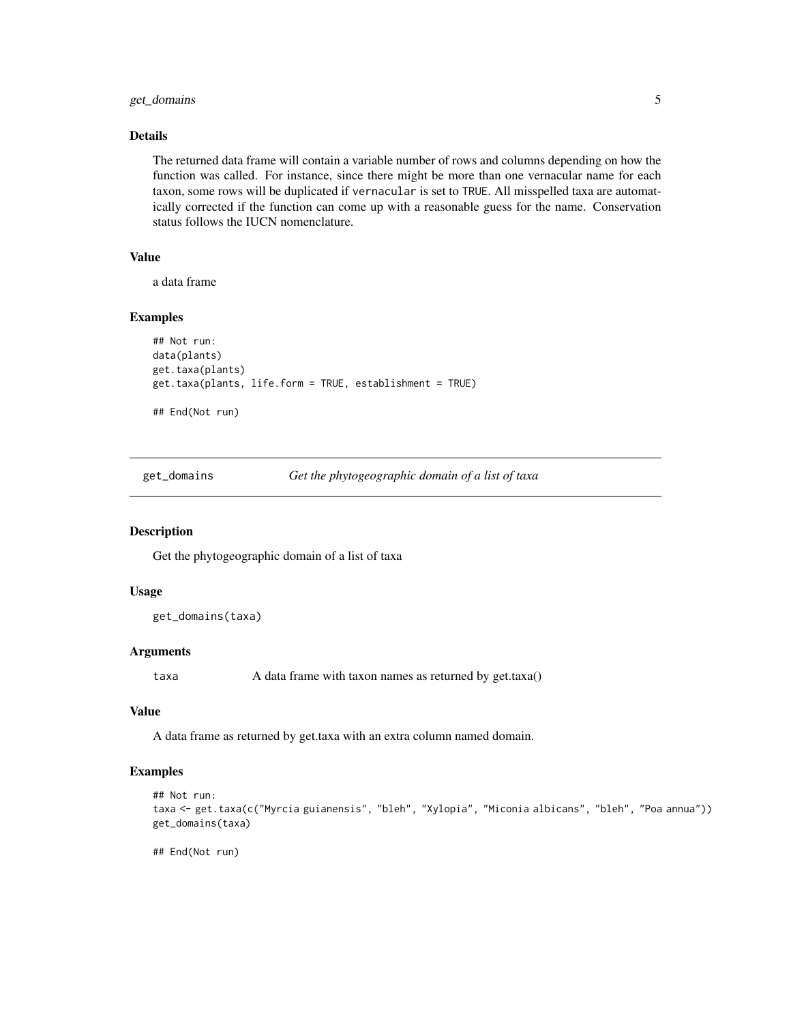# <span id="page-4-0"></span>get\_domains 5

### Details

The returned data frame will contain a variable number of rows and columns depending on how the function was called. For instance, since there might be more than one vernacular name for each taxon, some rows will be duplicated if vernacular is set to TRUE. All misspelled taxa are automatically corrected if the function can come up with a reasonable guess for the name. Conservation status follows the IUCN nomenclature.

# Value

a data frame

#### Examples

```
## Not run:
data(plants)
get.taxa(plants)
get.taxa(plants, life.form = TRUE, establishment = TRUE)
## End(Not run)
```
get\_domains *Get the phytogeographic domain of a list of taxa*

#### Description

Get the phytogeographic domain of a list of taxa

#### Usage

```
get_domains(taxa)
```
#### Arguments

taxa A data frame with taxon names as returned by get.taxa()

# Value

A data frame as returned by get.taxa with an extra column named domain.

#### Examples

```
## Not run:
taxa <- get.taxa(c("Myrcia guianensis", "bleh", "Xylopia", "Miconia albicans", "bleh", "Poa annua"))
get_domains(taxa)
```
## End(Not run)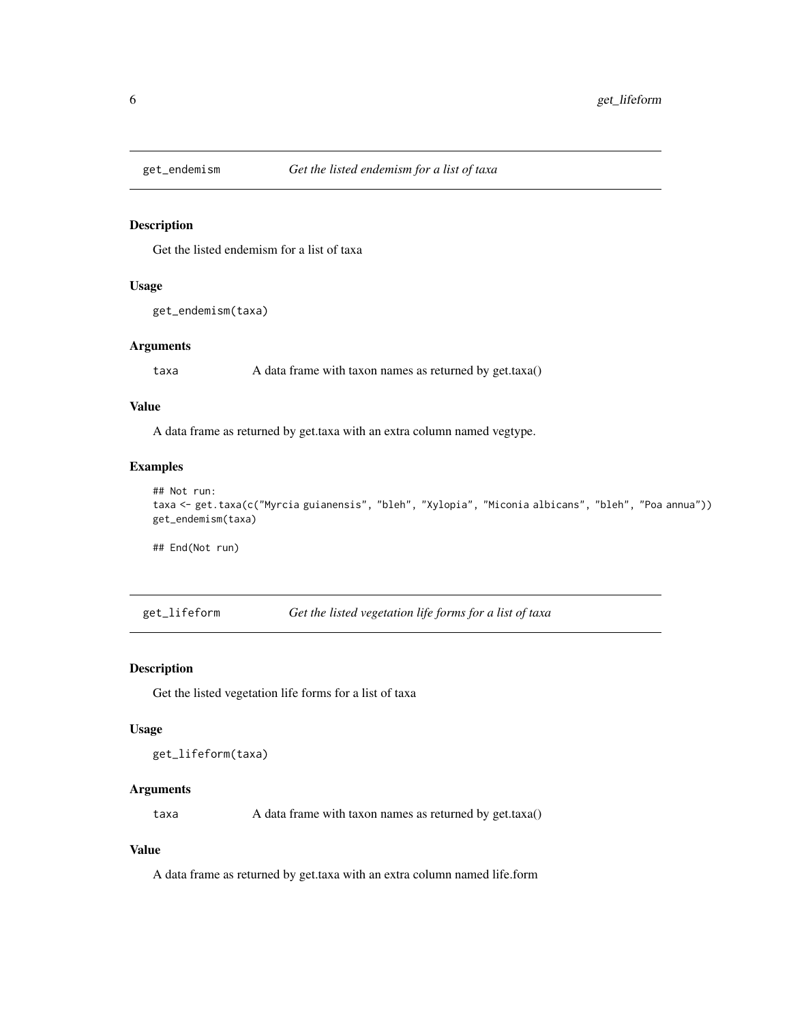<span id="page-5-0"></span>

# Description

Get the listed endemism for a list of taxa

# Usage

```
get_endemism(taxa)
```
#### Arguments

taxa A data frame with taxon names as returned by get.taxa()

### Value

A data frame as returned by get.taxa with an extra column named vegtype.

#### Examples

```
## Not run:
taxa <- get.taxa(c("Myrcia guianensis", "bleh", "Xylopia", "Miconia albicans", "bleh", "Poa annua"))
get_endemism(taxa)
```
## End(Not run)

get\_lifeform *Get the listed vegetation life forms for a list of taxa*

#### Description

Get the listed vegetation life forms for a list of taxa

#### Usage

```
get_lifeform(taxa)
```
# Arguments

taxa A data frame with taxon names as returned by get.taxa()

#### Value

A data frame as returned by get.taxa with an extra column named life.form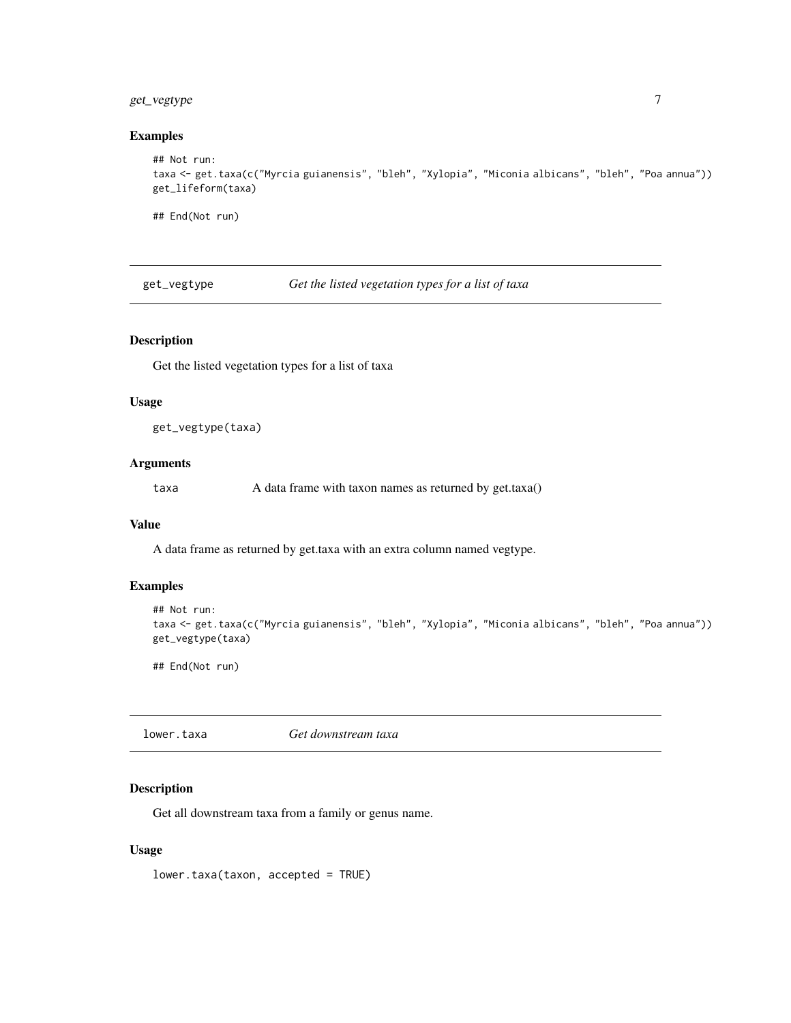# <span id="page-6-0"></span>get\_vegtype 7

# Examples

```
## Not run:
taxa <- get.taxa(c("Myrcia guianensis", "bleh", "Xylopia", "Miconia albicans", "bleh", "Poa annua"))
get_lifeform(taxa)
```
## End(Not run)

get\_vegtype *Get the listed vegetation types for a list of taxa*

# Description

Get the listed vegetation types for a list of taxa

#### Usage

get\_vegtype(taxa)

### Arguments

taxa A data frame with taxon names as returned by get.taxa()

#### Value

A data frame as returned by get.taxa with an extra column named vegtype.

## Examples

```
## Not run:
taxa <- get.taxa(c("Myrcia guianensis", "bleh", "Xylopia", "Miconia albicans", "bleh", "Poa annua"))
get_vegtype(taxa)
```
## End(Not run)

lower.taxa *Get downstream taxa*

# Description

Get all downstream taxa from a family or genus name.

#### Usage

lower.taxa(taxon, accepted = TRUE)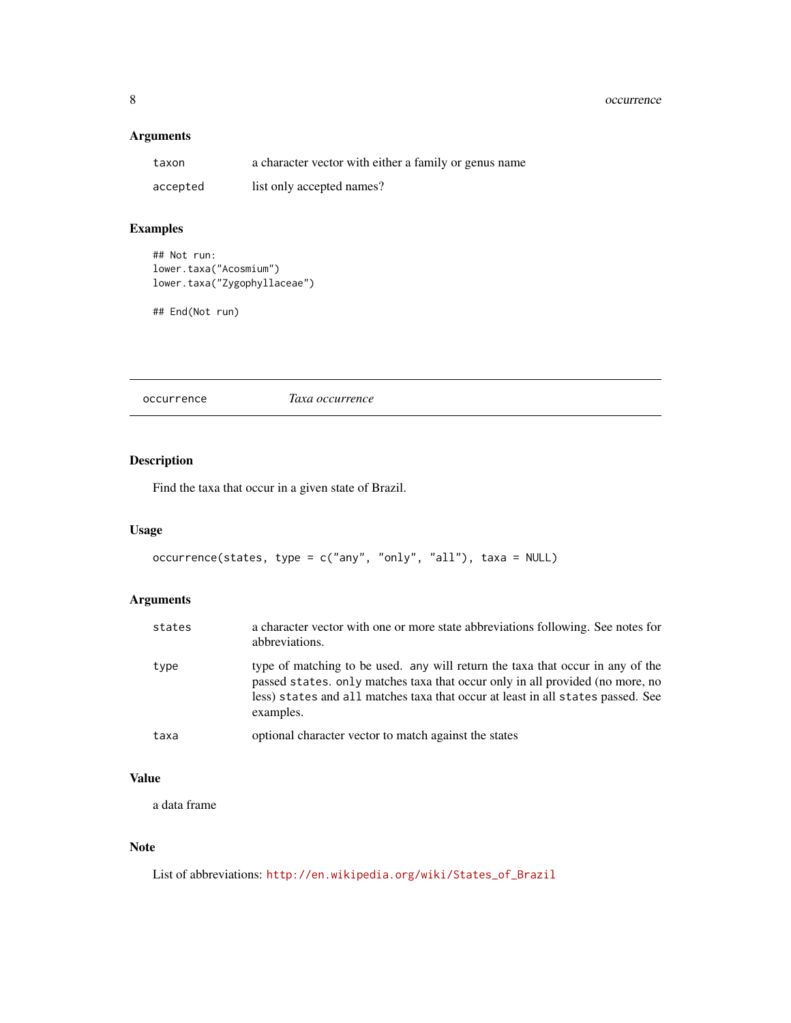# <span id="page-7-0"></span>Arguments

| taxon    | a character vector with either a family or genus name |
|----------|-------------------------------------------------------|
| accepted | list only accepted names?                             |

# Examples

```
## Not run:
lower.taxa("Acosmium")
lower.taxa("Zygophyllaceae")
```
## End(Not run)

occurrence *Taxa occurrence*

# Description

Find the taxa that occur in a given state of Brazil.

# Usage

```
occurrence(states, type = c("any", "only", "all"), taxa = NULL)
```
# Arguments

| states | a character vector with one or more state abbreviations following. See notes for<br>abbreviations.                                                                                                                                                              |
|--------|-----------------------------------------------------------------------------------------------------------------------------------------------------------------------------------------------------------------------------------------------------------------|
| type   | type of matching to be used. any will return the taxa that occur in any of the<br>passed states. only matches taxa that occur only in all provided (no more, no<br>less) states and all matches taxa that occur at least in all states passed. See<br>examples. |
| taxa   | optional character vector to match against the states                                                                                                                                                                                                           |

#### Value

a data frame

# Note

List of abbreviations: [http://en.wikipedia.org/wiki/States\\_of\\_Brazil](http://en.wikipedia.org/wiki/States_of_Brazil)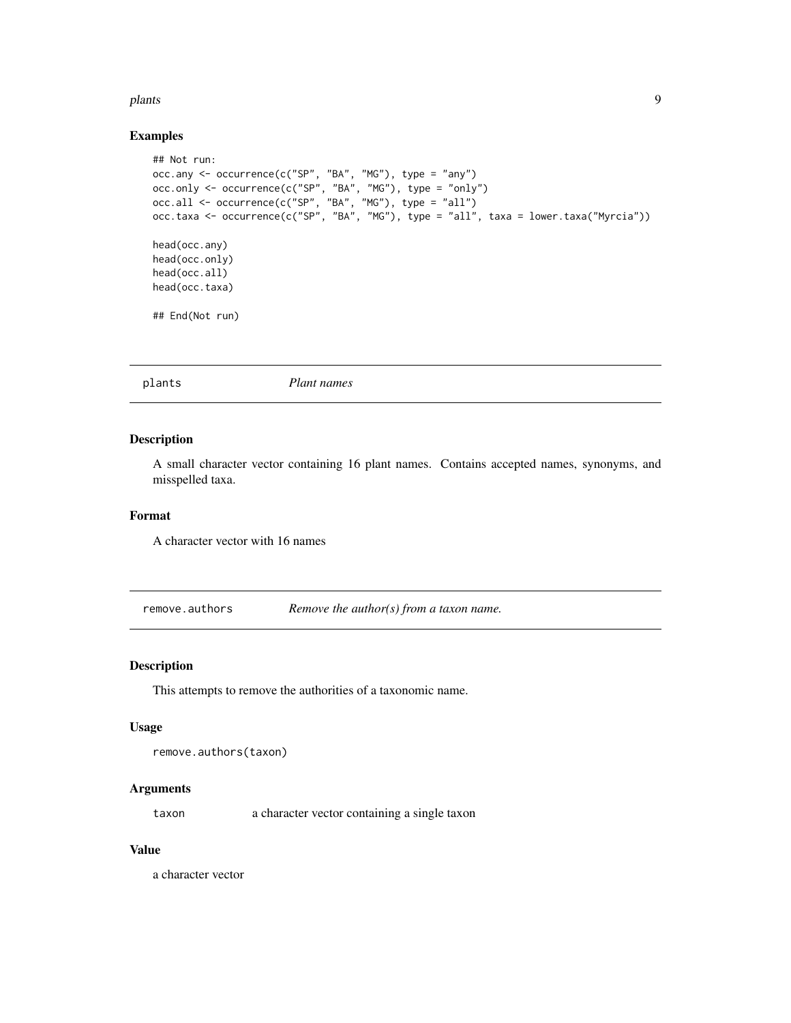#### <span id="page-8-0"></span>plants **9**

# Examples

```
## Not run:
occ.any <- occurrence(c("SP", "BA", "MG"), type = "any")
occ.only <- occurrence(c("SP", "BA", "MG"), type = "only")
occ.all <- occurrence(c("SP", "BA", "MG"), type = "all")
occ.taxa <- occurrence(c("SP", "BA", "MG"), type = "all", taxa = lower.taxa("Myrcia"))
head(occ.any)
head(occ.only)
head(occ.all)
head(occ.taxa)
## End(Not run)
```
plants *Plant names*

# Description

A small character vector containing 16 plant names. Contains accepted names, synonyms, and misspelled taxa.

#### Format

A character vector with 16 names

<span id="page-8-1"></span>remove.authors *Remove the author(s) from a taxon name.*

#### Description

This attempts to remove the authorities of a taxonomic name.

#### Usage

```
remove.authors(taxon)
```
# Arguments

taxon a character vector containing a single taxon

#### Value

a character vector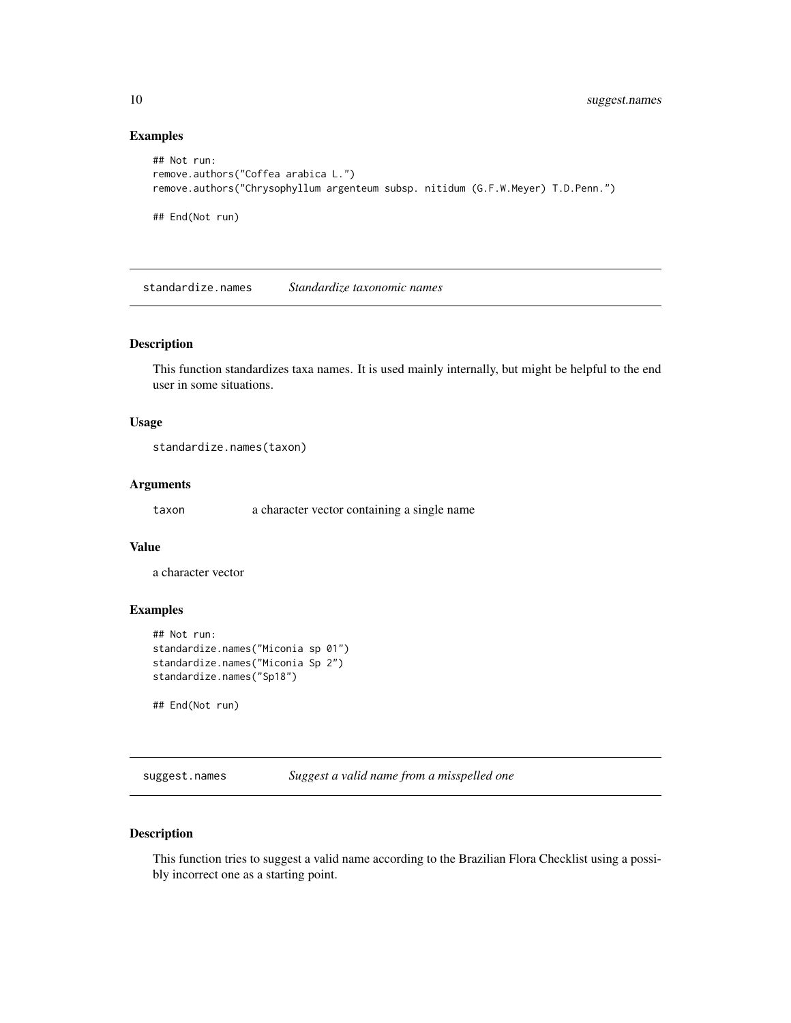# Examples

```
## Not run:
remove.authors("Coffea arabica L.")
remove.authors("Chrysophyllum argenteum subsp. nitidum (G.F.W.Meyer) T.D.Penn.")
## End(Not run)
```
standardize.names *Standardize taxonomic names*

### Description

This function standardizes taxa names. It is used mainly internally, but might be helpful to the end user in some situations.

# Usage

```
standardize.names(taxon)
```
#### Arguments

taxon a character vector containing a single name

# Value

a character vector

# Examples

```
## Not run:
standardize.names("Miconia sp 01")
standardize.names("Miconia Sp 2")
standardize.names("Sp18")
```
## End(Not run)

suggest.names *Suggest a valid name from a misspelled one*

# Description

This function tries to suggest a valid name according to the Brazilian Flora Checklist using a possibly incorrect one as a starting point.

<span id="page-9-0"></span>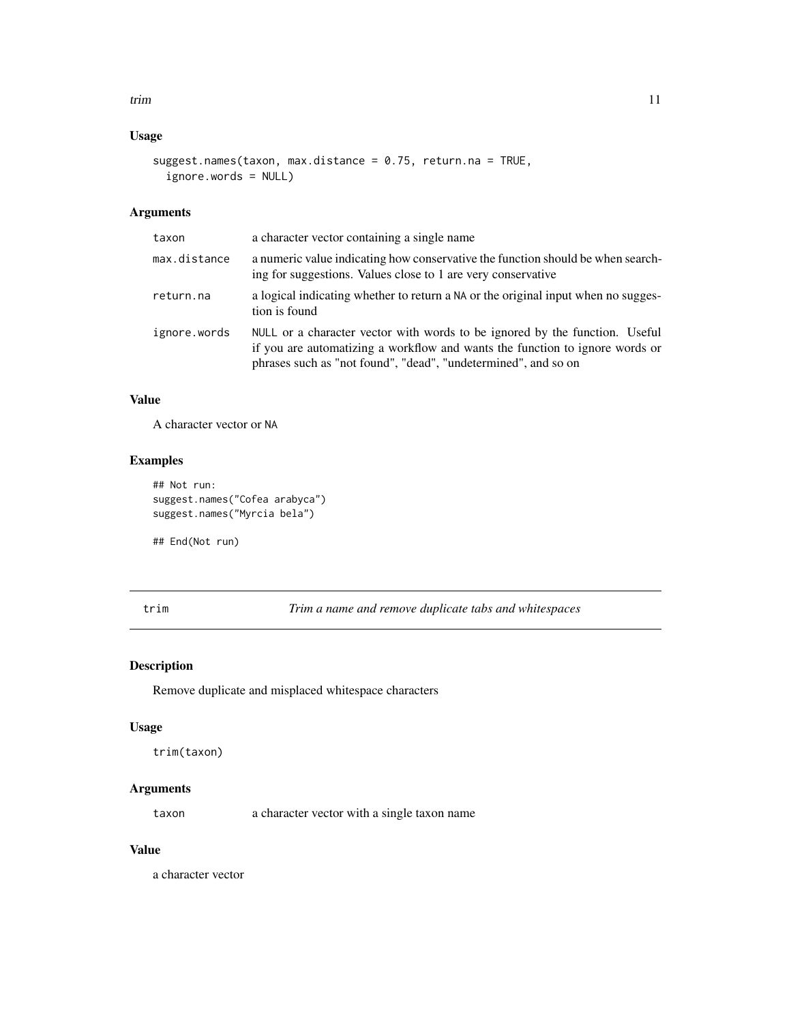# <span id="page-10-0"></span>Usage

```
suggest.names(taxon, max.distance = 0.75, return.na = TRUE,
  ignore.words = NULL)
```
# Arguments

| taxon        | a character vector containing a single name                                                                                                                                                                                   |
|--------------|-------------------------------------------------------------------------------------------------------------------------------------------------------------------------------------------------------------------------------|
| max.distance | a numeric value indicating how conservative the function should be when search-<br>ing for suggestions. Values close to 1 are very conservative                                                                               |
| return.na    | a logical indicating whether to return a NA or the original input when no sugges-<br>tion is found                                                                                                                            |
| ignore.words | NULL or a character vector with words to be ignored by the function. Useful<br>if you are automatizing a workflow and wants the function to ignore words or<br>phrases such as "not found", "dead", "undetermined", and so on |

# Value

A character vector or NA

# Examples

```
## Not run:
suggest.names("Cofea arabyca")
suggest.names("Myrcia bela")
```
## End(Not run)

trim *Trim a name and remove duplicate tabs and whitespaces*

# Description

Remove duplicate and misplaced whitespace characters

#### Usage

```
trim(taxon)
```
# Arguments

taxon a character vector with a single taxon name

# Value

a character vector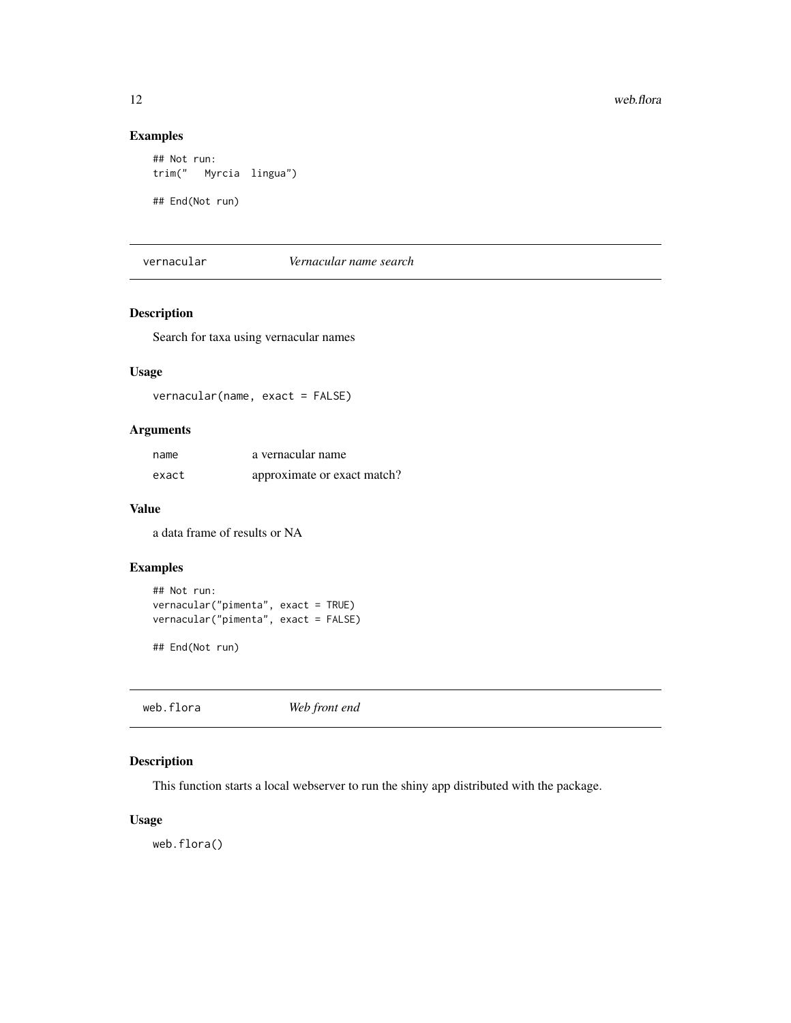# Examples

```
## Not run:
trim(" Myrcia lingua")
```
## End(Not run)

vernacular *Vernacular name search*

# Description

Search for taxa using vernacular names

# Usage

vernacular(name, exact = FALSE)

# Arguments

| name  | a vernacular name           |
|-------|-----------------------------|
| exact | approximate or exact match? |

# Value

a data frame of results or NA

# Examples

```
## Not run:
vernacular("pimenta", exact = TRUE)
vernacular("pimenta", exact = FALSE)
```
## End(Not run)

web.flora *Web front end*

# Description

This function starts a local webserver to run the shiny app distributed with the package.

#### Usage

web.flora()

<span id="page-11-0"></span>